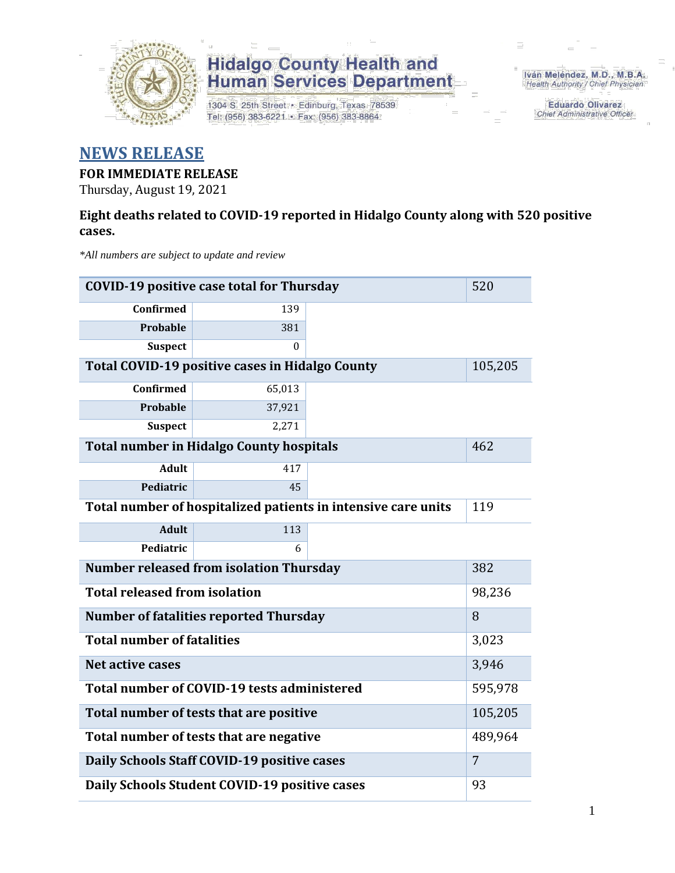

1304 S. 25th Street · Edinburg, Texas 78539 Tel: (956) 383-6221 · Fax: (956) 383-8864

Iván Meléndez, M.D., M.B.A. Health Authority / Chief Physician

> **Eduardo Olivarez Chief Administrative Officer**

#### **NEWS RELEASE**

#### **FOR IMMEDIATE RELEASE**

Thursday, August 19, 2021

#### **Eight deaths related to COVID-19 reported in Hidalgo County along with 520 positive cases.**

*\*All numbers are subject to update and review*

| <b>COVID-19 positive case total for Thursday</b><br>520       |                                                    |                                                               |         |  |  |  |
|---------------------------------------------------------------|----------------------------------------------------|---------------------------------------------------------------|---------|--|--|--|
| Confirmed                                                     | 139                                                |                                                               |         |  |  |  |
| <b>Probable</b>                                               | 381                                                |                                                               |         |  |  |  |
| <b>Suspect</b>                                                | 0                                                  |                                                               |         |  |  |  |
|                                                               | Total COVID-19 positive cases in Hidalgo County    |                                                               | 105,205 |  |  |  |
| Confirmed                                                     | 65,013                                             |                                                               |         |  |  |  |
| <b>Probable</b>                                               | 37,921                                             |                                                               |         |  |  |  |
| <b>Suspect</b>                                                | 2,271                                              |                                                               |         |  |  |  |
|                                                               | <b>Total number in Hidalgo County hospitals</b>    |                                                               | 462     |  |  |  |
| <b>Adult</b>                                                  | 417                                                |                                                               |         |  |  |  |
| Pediatric                                                     | 45                                                 |                                                               |         |  |  |  |
|                                                               |                                                    | Total number of hospitalized patients in intensive care units | 119     |  |  |  |
| <b>Adult</b>                                                  | 113                                                |                                                               |         |  |  |  |
| Pediatric                                                     | 6                                                  |                                                               |         |  |  |  |
|                                                               | <b>Number released from isolation Thursday</b>     |                                                               | 382     |  |  |  |
| <b>Total released from isolation</b>                          |                                                    |                                                               | 98,236  |  |  |  |
|                                                               | <b>Number of fatalities reported Thursday</b>      |                                                               | 8       |  |  |  |
| <b>Total number of fatalities</b>                             |                                                    |                                                               | 3,023   |  |  |  |
| <b>Net active cases</b>                                       |                                                    |                                                               | 3,946   |  |  |  |
|                                                               | Total number of COVID-19 tests administered        |                                                               | 595,978 |  |  |  |
|                                                               | 105,205<br>Total number of tests that are positive |                                                               |         |  |  |  |
|                                                               | Total number of tests that are negative            |                                                               | 489,964 |  |  |  |
| Daily Schools Staff COVID-19 positive cases<br>$\overline{7}$ |                                                    |                                                               |         |  |  |  |
| Daily Schools Student COVID-19 positive cases<br>93           |                                                    |                                                               |         |  |  |  |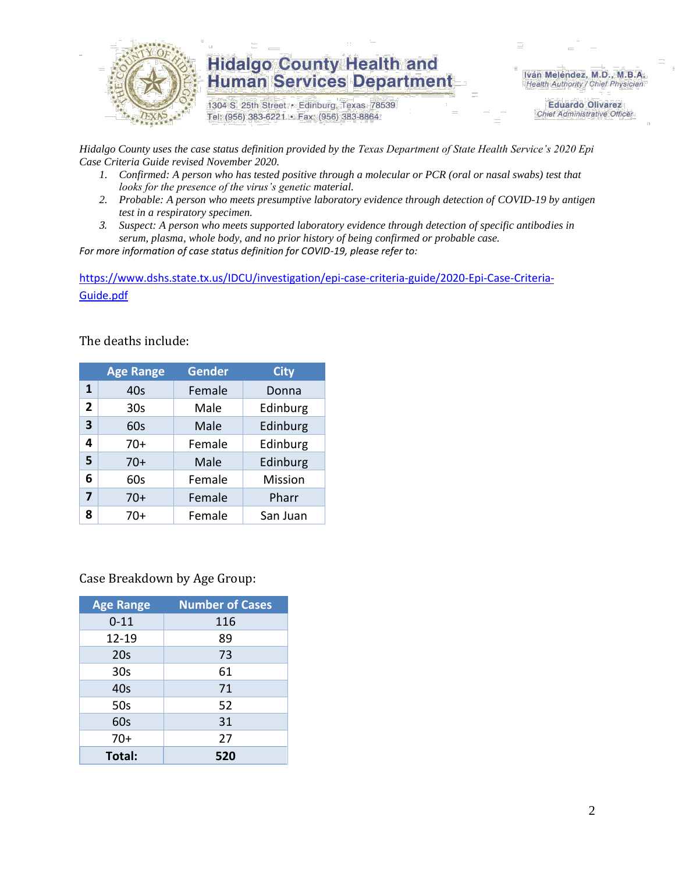

1304 S. 25th Street · Edinburg, Texas 78539 Tel: (956) 383-6221 · Fax: (956) 383-8864

Iván Meléndez, M.D., M.B.A. Health Authority / Chief Physician

> **Eduardo Olivarez Chief Administrative Officer**

*Hidalgo County uses the case status definition provided by the Texas Department of State Health Service's 2020 Epi Case Criteria Guide revised November 2020.*

- *1. Confirmed: A person who has tested positive through a molecular or PCR (oral or nasal swabs) test that looks for the presence of the virus's genetic material.*
- *2. Probable: A person who meets presumptive laboratory evidence through detection of COVID-19 by antigen test in a respiratory specimen.*
- *3. Suspect: A person who meets supported laboratory evidence through detection of specific antibodies in serum, plasma, whole body, and no prior history of being confirmed or probable case.*

*For more information of case status definition for COVID-19, please refer to:*

[https://www.dshs.state.tx.us/IDCU/investigation/epi-case-criteria-guide/2020-Epi-Case-Criteria-](https://www.dshs.state.tx.us/IDCU/investigation/epi-case-criteria-guide/2020-Epi-Case-Criteria-Guide.pdf)[Guide.pdf](https://www.dshs.state.tx.us/IDCU/investigation/epi-case-criteria-guide/2020-Epi-Case-Criteria-Guide.pdf)

The deaths include:

|                | <b>Age Range</b> | <b>Gender</b> | <b>City</b> |
|----------------|------------------|---------------|-------------|
| 1              | 40s              | Female        | Donna       |
| $\overline{2}$ | 30 <sub>s</sub>  | Male          | Edinburg    |
| 3              | 60s              | Male          | Edinburg    |
| 4              | $70+$            | Female        | Edinburg    |
| 5              | $70+$            | Male          | Edinburg    |
| 6              | 60s              | Female        | Mission     |
| 7              | $70+$            | Female        | Pharr       |
| 8              | 70+              | Female        | San Juan    |

Case Breakdown by Age Group:

| <b>Age Range</b> | <b>Number of Cases</b> |
|------------------|------------------------|
| $0 - 11$         | 116                    |
| 12-19            | 89                     |
| 20s              | 73                     |
| 30 <sub>s</sub>  | 61                     |
| 40s              | 71                     |
| 50s              | 52                     |
| 60s              | 31                     |
| $70+$            | 27                     |
| Total:           | 520                    |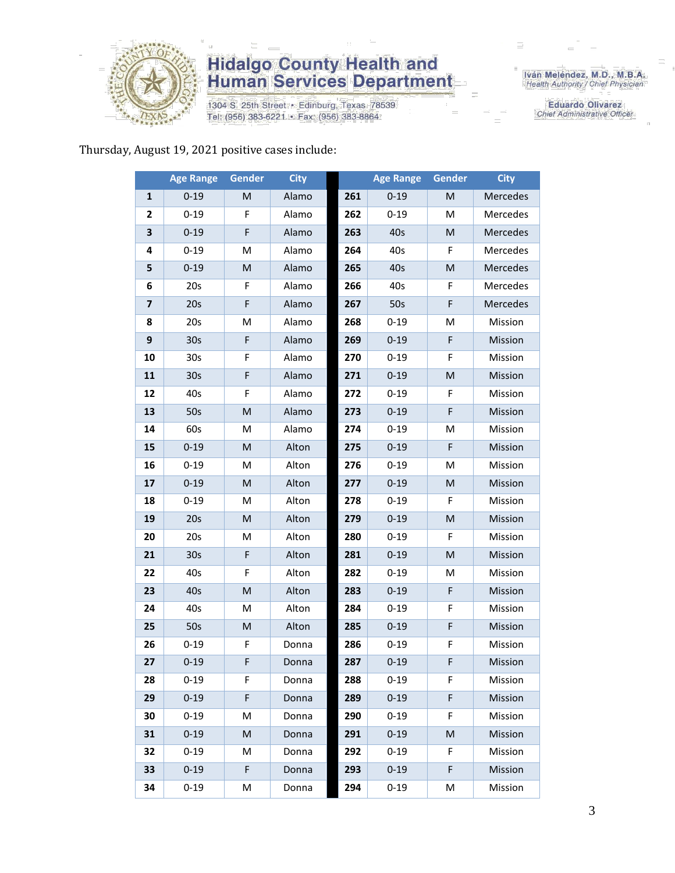

1304 S. 25th Street · Edinburg, Texas 78539 Tel: (956) 383-6221 · Fax: (956) 383-8864

Iván Meléndez, M.D., M.B.A.<br>Health Authority / Chief Physician

**Eduardo Olivarez** Chief Administrative Officer

#### Thursday, August 19, 2021 positive cases include:

|                         | <b>Age Range</b> | <b>Gender</b>                                                                                              | <b>City</b> |     | <b>Age Range</b> | <b>Gender</b> | <b>City</b> |
|-------------------------|------------------|------------------------------------------------------------------------------------------------------------|-------------|-----|------------------|---------------|-------------|
| 1                       | $0 - 19$         | M                                                                                                          | Alamo       | 261 | $0 - 19$         | M             | Mercedes    |
| $\mathbf{2}$            | $0 - 19$         | F                                                                                                          | Alamo       | 262 | $0 - 19$         | M             | Mercedes    |
| 3                       | $0 - 19$         | F                                                                                                          | Alamo       | 263 | 40s              | M             | Mercedes    |
| 4                       | $0 - 19$         | M                                                                                                          | Alamo       | 264 | 40s              | F             | Mercedes    |
| 5                       | $0 - 19$         | M                                                                                                          | Alamo       | 265 | 40s              | M             | Mercedes    |
| 6                       | 20s              | F                                                                                                          | Alamo       | 266 | 40s              | F             | Mercedes    |
| $\overline{\mathbf{z}}$ | 20s              | $\mathsf F$                                                                                                | Alamo       | 267 | 50s              | F             | Mercedes    |
| 8                       | 20s              | M                                                                                                          | Alamo       | 268 | $0 - 19$         | M             | Mission     |
| 9                       | 30 <sub>s</sub>  | F                                                                                                          | Alamo       | 269 | $0 - 19$         | F             | Mission     |
| 10                      | 30 <sub>s</sub>  | F                                                                                                          | Alamo       | 270 | $0 - 19$         | F             | Mission     |
| 11                      | 30 <sub>s</sub>  | F                                                                                                          | Alamo       | 271 | $0 - 19$         | M             | Mission     |
| 12                      | 40s              | F                                                                                                          | Alamo       | 272 | $0 - 19$         | F             | Mission     |
| 13                      | 50s              | M                                                                                                          | Alamo       | 273 | $0 - 19$         | F             | Mission     |
| 14                      | 60s              | M                                                                                                          | Alamo       | 274 | $0 - 19$         | M             | Mission     |
| 15                      | $0 - 19$         | M                                                                                                          | Alton       | 275 | $0 - 19$         | F             | Mission     |
| 16                      | $0 - 19$         | M                                                                                                          | Alton       | 276 | $0 - 19$         | M             | Mission     |
| 17                      | $0 - 19$         | $\mathsf{M}% _{T}=\mathsf{M}_{T}\!\left( a,b\right) ,\ \mathsf{M}_{T}=\mathsf{M}_{T}\!\left( a,b\right) ,$ | Alton       | 277 | $0 - 19$         | M             | Mission     |
| 18                      | $0 - 19$         | M                                                                                                          | Alton       | 278 | $0 - 19$         | F.            | Mission     |
| 19                      | 20s              | M                                                                                                          | Alton       | 279 | $0 - 19$         | M             | Mission     |
| 20                      | 20s              | M                                                                                                          | Alton       | 280 | $0 - 19$         | F             | Mission     |
| 21                      | 30 <sub>s</sub>  | $\mathsf F$                                                                                                | Alton       | 281 | $0 - 19$         | M             | Mission     |
| 22                      | 40s              | F                                                                                                          | Alton       | 282 | $0 - 19$         | M             | Mission     |
| 23                      | 40s              | M                                                                                                          | Alton       | 283 | $0 - 19$         | F             | Mission     |
| 24                      | 40s              | M                                                                                                          | Alton       | 284 | $0 - 19$         | F             | Mission     |
| 25                      | 50s              | M                                                                                                          | Alton       | 285 | $0 - 19$         | F             | Mission     |
| 26                      | $0 - 19$         | F                                                                                                          | Donna       | 286 | $0 - 19$         | F             | Mission     |
| 27                      | $0 - 19$         | F                                                                                                          | Donna       | 287 | $0 - 19$         | F.            | Mission     |
| 28                      | $0 - 19$         | F.                                                                                                         | Donna       | 288 | $0 - 19$         | F             | Mission     |
| 29                      | $0 - 19$         | F                                                                                                          | Donna       | 289 | $0 - 19$         | F             | Mission     |
| 30                      | $0 - 19$         | M                                                                                                          | Donna       | 290 | $0 - 19$         | F.            | Mission     |
| 31                      | $0 - 19$         | M                                                                                                          | Donna       | 291 | $0 - 19$         | M             | Mission     |
| 32                      | $0 - 19$         | М                                                                                                          | Donna       | 292 | $0 - 19$         | F.            | Mission     |
| 33                      | $0 - 19$         | F                                                                                                          | Donna       | 293 | $0 - 19$         | F             | Mission     |
| 34                      | $0 - 19$         | M                                                                                                          | Donna       | 294 | $0 - 19$         | M             | Mission     |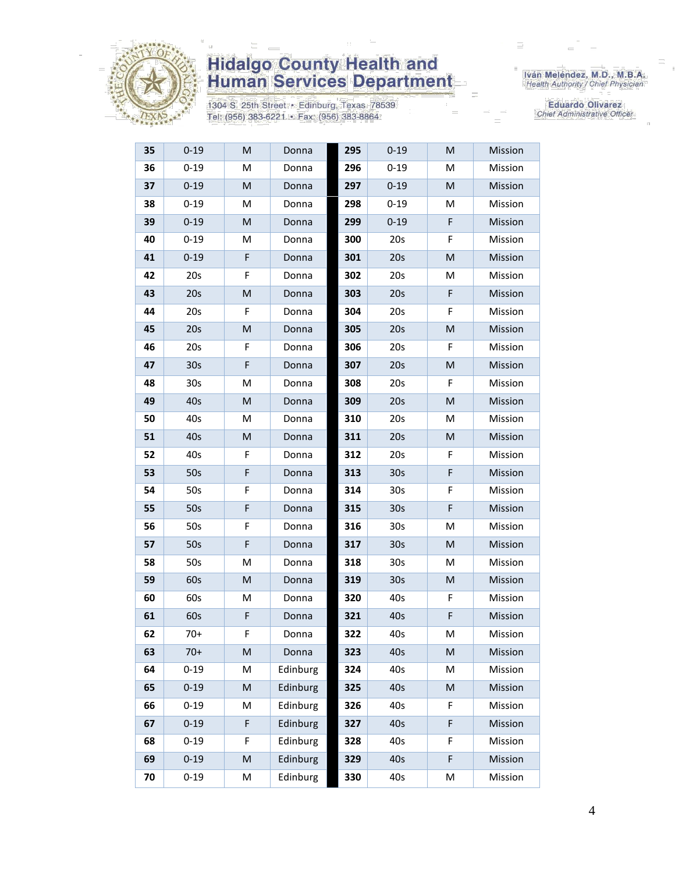

1304 S. 25th Street · Edinburg, Texas 78539 Tel: (956) 383-6221 · Fax: (956) 383-8864

Iván Meléndez, M.D., M.B.A.<br>Health Authority / Chief Physician

| 35 | $0 - 19$        | M                                                                                                          | Donna    | 295 | $0 - 19$        | M           | Mission |
|----|-----------------|------------------------------------------------------------------------------------------------------------|----------|-----|-----------------|-------------|---------|
| 36 | $0 - 19$        | M                                                                                                          | Donna    | 296 | $0 - 19$        | M           | Mission |
| 37 | $0 - 19$        | M                                                                                                          | Donna    | 297 | $0 - 19$        | M           | Mission |
| 38 | $0 - 19$        | M                                                                                                          | Donna    | 298 | $0 - 19$        | M           | Mission |
| 39 | $0 - 19$        | M                                                                                                          | Donna    | 299 | $0 - 19$        | F           | Mission |
| 40 | $0 - 19$        | M                                                                                                          | Donna    | 300 | 20s             | F           | Mission |
| 41 | $0 - 19$        | F                                                                                                          | Donna    | 301 | 20s             | M           | Mission |
| 42 | 20s             | F                                                                                                          | Donna    | 302 | 20s             | Μ           | Mission |
| 43 | 20s             | M                                                                                                          | Donna    | 303 | 20s             | F           | Mission |
| 44 | 20s             | F                                                                                                          | Donna    | 304 | 20s             | F           | Mission |
| 45 | 20s             | M                                                                                                          | Donna    | 305 | 20s             | M           | Mission |
| 46 | 20s             | F                                                                                                          | Donna    | 306 | 20s             | F           | Mission |
| 47 | 30 <sub>s</sub> | F                                                                                                          | Donna    | 307 | 20s             | M           | Mission |
| 48 | 30 <sub>s</sub> | M                                                                                                          | Donna    | 308 | 20s             | F           | Mission |
| 49 | 40s             | M                                                                                                          | Donna    | 309 | 20s             | M           | Mission |
| 50 | 40s             | M                                                                                                          | Donna    | 310 | 20s             | M           | Mission |
| 51 | 40s             | M                                                                                                          | Donna    | 311 | 20s             | M           | Mission |
| 52 | 40s             | F                                                                                                          | Donna    | 312 | 20s             | F           | Mission |
| 53 | 50s             | F                                                                                                          | Donna    | 313 | 30 <sub>s</sub> | F           | Mission |
| 54 | 50s             | F                                                                                                          | Donna    | 314 | 30 <sub>s</sub> | F           | Mission |
| 55 | 50s             | F                                                                                                          | Donna    | 315 | 30 <sub>s</sub> | $\mathsf F$ | Mission |
| 56 | 50s             | F                                                                                                          | Donna    | 316 | 30 <sub>s</sub> | Μ           | Mission |
| 57 | 50s             | $\mathsf F$                                                                                                | Donna    | 317 | 30 <sub>s</sub> | M           | Mission |
| 58 | 50s             | M                                                                                                          | Donna    | 318 | 30 <sub>s</sub> | M           | Mission |
| 59 | 60s             | M                                                                                                          | Donna    | 319 | 30 <sub>s</sub> | M           | Mission |
| 60 | 60s             | M                                                                                                          | Donna    | 320 | 40s             | F           | Mission |
| 61 | 60s             | F                                                                                                          | Donna    | 321 | 40s             | F           | Mission |
| 62 | $70+$           | F                                                                                                          | Donna    | 322 | 40s             | M           | Mission |
| 63 | $70+$           | $\mathsf{M}% _{T}=\mathsf{M}_{T}\!\left( a,b\right) ,\ \mathsf{M}_{T}=\mathsf{M}_{T}\!\left( a,b\right) ,$ | Donna    | 323 | 40s             | M           | Mission |
| 64 | $0 - 19$        | Μ                                                                                                          | Edinburg | 324 | 40s             | Μ           | Mission |
| 65 | $0 - 19$        | M                                                                                                          | Edinburg | 325 | 40s             | M           | Mission |
| 66 | $0 - 19$        | M                                                                                                          | Edinburg | 326 | 40s             | F           | Mission |
| 67 | $0 - 19$        | F                                                                                                          | Edinburg | 327 | 40s             | F           | Mission |
| 68 | $0 - 19$        | F                                                                                                          | Edinburg | 328 | 40s             | F           | Mission |
| 69 | $0 - 19$        | $\mathsf{M}% _{T}=\mathsf{M}_{T}\!\left( a,b\right) ,\ \mathsf{M}_{T}=\mathsf{M}_{T}\!\left( a,b\right) ,$ | Edinburg | 329 | 40s             | F           | Mission |
| 70 | $0 - 19$        | M                                                                                                          | Edinburg | 330 | 40s             | М           | Mission |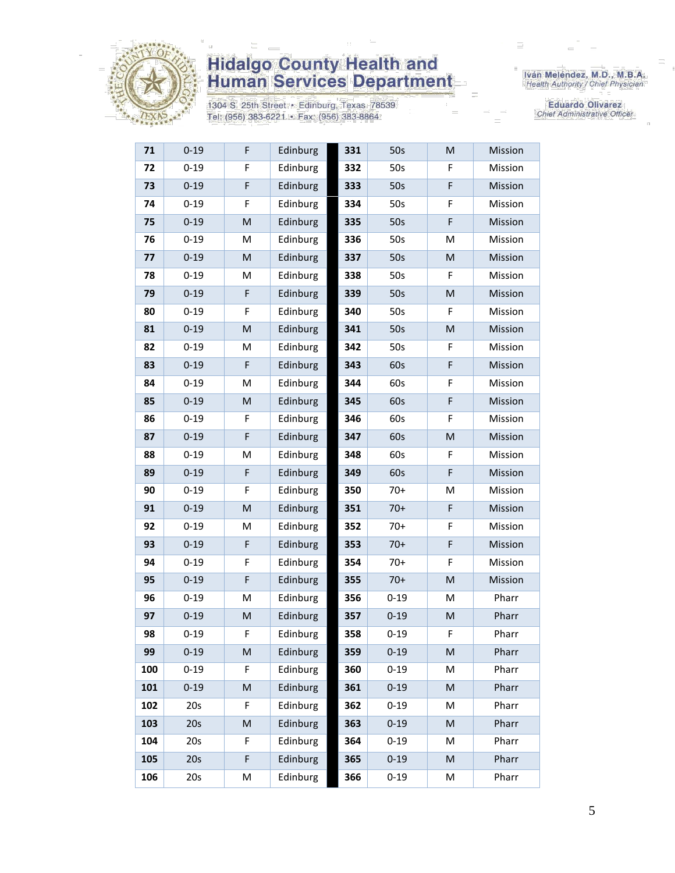

1304 S. 25th Street • Edinburg, Texas 78539<br>Tel: (956) 383-6221 • Fax: (956) 383-8864

Iván Meléndez, M.D., M.B.A.<br>Health Authority / Chief Physician

Eduardo Olivarez Chief Administrative Officer

| 71  | $0 - 19$ | F                                                                                                          | Edinburg | 331 | 50s      | M         | Mission |
|-----|----------|------------------------------------------------------------------------------------------------------------|----------|-----|----------|-----------|---------|
| 72  | $0 - 19$ | F                                                                                                          | Edinburg | 332 | 50s      | F         | Mission |
| 73  | $0 - 19$ | F                                                                                                          | Edinburg | 333 | 50s      | F         | Mission |
| 74  | $0 - 19$ | F                                                                                                          | Edinburg | 334 | 50s      | F         | Mission |
| 75  | $0 - 19$ | M                                                                                                          | Edinburg | 335 | 50s      | F         | Mission |
| 76  | $0 - 19$ | M                                                                                                          | Edinburg | 336 | 50s      | M         | Mission |
| 77  | $0 - 19$ | M                                                                                                          | Edinburg | 337 | 50s      | M         | Mission |
| 78  | $0 - 19$ | M                                                                                                          | Edinburg | 338 | 50s      | F         | Mission |
| 79  | $0 - 19$ | F                                                                                                          | Edinburg | 339 | 50s      | M         | Mission |
| 80  | $0 - 19$ | F                                                                                                          | Edinburg | 340 | 50s      | F         | Mission |
| 81  | $0 - 19$ | $\mathsf{M}% _{T}=\mathsf{M}_{T}\!\left( a,b\right) ,\ \mathsf{M}_{T}=\mathsf{M}_{T}\!\left( a,b\right) ,$ | Edinburg | 341 | 50s      | M         | Mission |
| 82  | $0 - 19$ | M                                                                                                          | Edinburg | 342 | 50s      | F         | Mission |
| 83  | $0 - 19$ | F                                                                                                          | Edinburg | 343 | 60s      | F         | Mission |
| 84  | $0 - 19$ | M                                                                                                          | Edinburg | 344 | 60s      | F         | Mission |
| 85  | $0 - 19$ | M                                                                                                          | Edinburg | 345 | 60s      | F         | Mission |
| 86  | $0 - 19$ | F                                                                                                          | Edinburg | 346 | 60s      | F         | Mission |
| 87  | $0 - 19$ | F                                                                                                          | Edinburg | 347 | 60s      | M         | Mission |
| 88  | $0 - 19$ | M                                                                                                          | Edinburg | 348 | 60s      | F         | Mission |
| 89  | $0 - 19$ | F                                                                                                          | Edinburg | 349 | 60s      | F         | Mission |
| 90  | $0 - 19$ | F                                                                                                          | Edinburg | 350 | $70+$    | M         | Mission |
| 91  | $0 - 19$ | $\mathsf{M}% _{T}=\mathsf{M}_{T}\!\left( a,b\right) ,\ \mathsf{M}_{T}=\mathsf{M}_{T}\!\left( a,b\right) ,$ | Edinburg | 351 | $70+$    | F         | Mission |
| 92  | $0 - 19$ | M                                                                                                          | Edinburg | 352 | $70+$    | F         | Mission |
| 93  | $0 - 19$ | F                                                                                                          | Edinburg | 353 | $70+$    | F         | Mission |
| 94  | $0 - 19$ | F                                                                                                          | Edinburg | 354 | $70+$    | F         | Mission |
| 95  | $0 - 19$ | F                                                                                                          | Edinburg | 355 | $70+$    | M         | Mission |
| 96  | $0 - 19$ | M                                                                                                          | Edinburg | 356 | $0 - 19$ | M         | Pharr   |
| 97  | $0 - 19$ | M                                                                                                          | Edinburg | 357 | $0 - 19$ | M         | Pharr   |
| 98  | $0 - 19$ | F                                                                                                          | Edinburg | 358 | $0 - 19$ | F.        | Pharr   |
| 99  | $0 - 19$ | M                                                                                                          | Edinburg | 359 | $0 - 19$ | M         | Pharr   |
| 100 | $0 - 19$ | F                                                                                                          | Edinburg | 360 | $0 - 19$ | M         | Pharr   |
| 101 | $0 - 19$ | M                                                                                                          | Edinburg | 361 | $0 - 19$ | ${\sf M}$ | Pharr   |
| 102 | 20s      | F                                                                                                          | Edinburg | 362 | $0 - 19$ | M         | Pharr   |
| 103 | 20s      | M                                                                                                          | Edinburg | 363 | $0 - 19$ | M         | Pharr   |
| 104 | 20s      | F                                                                                                          | Edinburg | 364 | $0 - 19$ | M         | Pharr   |
| 105 | 20s      | F                                                                                                          | Edinburg | 365 | $0 - 19$ | M         | Pharr   |
| 106 | 20s      | M                                                                                                          | Edinburg | 366 | $0 - 19$ | M         | Pharr   |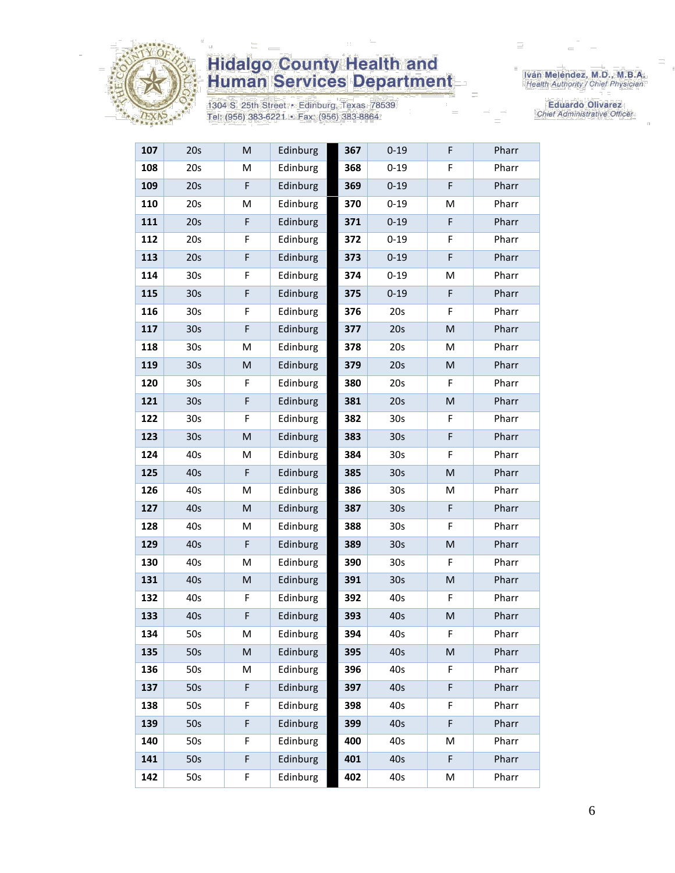

1304 S. 25th Street · Edinburg, Texas 78539 Tel: (956) 383-6221 · Fax: (956) 383-8864

Iván Meléndez, M.D., M.B.A.<br>Health Authority / Chief Physician

| 107 | 20s             | M                                                                                                          | Edinburg | 367 | $0 - 19$        | F | Pharr |
|-----|-----------------|------------------------------------------------------------------------------------------------------------|----------|-----|-----------------|---|-------|
| 108 | 20s             | М                                                                                                          | Edinburg | 368 | $0 - 19$        | F | Pharr |
| 109 | 20s             | F                                                                                                          | Edinburg | 369 | $0 - 19$        | F | Pharr |
| 110 | 20s             | M                                                                                                          | Edinburg | 370 | $0 - 19$        | M | Pharr |
| 111 | 20s             | F                                                                                                          | Edinburg | 371 | $0 - 19$        | F | Pharr |
| 112 | 20s             | F                                                                                                          | Edinburg | 372 | $0 - 19$        | F | Pharr |
| 113 | 20s             | F                                                                                                          | Edinburg | 373 | $0 - 19$        | F | Pharr |
| 114 | 30s             | F                                                                                                          | Edinburg | 374 | $0 - 19$        | Μ | Pharr |
| 115 | 30 <sub>s</sub> | F                                                                                                          | Edinburg | 375 | $0 - 19$        | F | Pharr |
| 116 | 30 <sub>s</sub> | F                                                                                                          | Edinburg | 376 | 20s             | F | Pharr |
| 117 | 30 <sub>s</sub> | F                                                                                                          | Edinburg | 377 | 20s             | M | Pharr |
| 118 | 30s             | M                                                                                                          | Edinburg | 378 | 20s             | M | Pharr |
| 119 | 30s             | M                                                                                                          | Edinburg | 379 | 20s             | M | Pharr |
| 120 | 30s             | F                                                                                                          | Edinburg | 380 | 20s             | F | Pharr |
| 121 | 30s             | F                                                                                                          | Edinburg | 381 | 20s             | M | Pharr |
| 122 | 30 <sub>s</sub> | F                                                                                                          | Edinburg | 382 | 30 <sub>s</sub> | F | Pharr |
| 123 | 30 <sub>s</sub> | $\mathsf{M}% _{T}=\mathsf{M}_{T}\!\left( a,b\right) ,\ \mathsf{M}_{T}=\mathsf{M}_{T}\!\left( a,b\right) ,$ | Edinburg | 383 | 30 <sub>s</sub> | F | Pharr |
| 124 | 40s             | M                                                                                                          | Edinburg | 384 | 30 <sub>s</sub> | F | Pharr |
| 125 | 40s             | F                                                                                                          | Edinburg | 385 | 30 <sub>s</sub> | M | Pharr |
| 126 | 40s             | M                                                                                                          | Edinburg | 386 | 30 <sub>s</sub> | M | Pharr |
| 127 | 40s             | M                                                                                                          | Edinburg | 387 | 30 <sub>s</sub> | F | Pharr |
| 128 | 40s             | M                                                                                                          | Edinburg | 388 | 30 <sub>s</sub> | F | Pharr |
| 129 | 40s             | F                                                                                                          | Edinburg | 389 | 30 <sub>s</sub> | M | Pharr |
| 130 | 40s             | M                                                                                                          | Edinburg | 390 | 30 <sub>s</sub> | F | Pharr |
| 131 | 40s             | M                                                                                                          | Edinburg | 391 | 30 <sub>s</sub> | M | Pharr |
| 132 | 40s             | F                                                                                                          | Edinburg | 392 | 40s             | F | Pharr |
| 133 | 40s             | F                                                                                                          | Edinburg | 393 | 40s             | M | Pharr |
| 134 | 50s             | M                                                                                                          | Edinburg | 394 | 40s             | F | Pharr |
| 135 | 50s             | M                                                                                                          | Edinburg | 395 | 40s             | M | Pharr |
| 136 | 50s             | M                                                                                                          | Edinburg | 396 | 40s             | F | Pharr |
| 137 | 50s             | F                                                                                                          | Edinburg | 397 | 40s             | F | Pharr |
| 138 | 50s             | F                                                                                                          | Edinburg | 398 | 40s             | F | Pharr |
| 139 | 50s             | F                                                                                                          | Edinburg | 399 | 40s             | F | Pharr |
| 140 | 50s             | F                                                                                                          | Edinburg | 400 | 40s             | M | Pharr |
| 141 | 50s             | F                                                                                                          | Edinburg | 401 | 40s             | F | Pharr |
| 142 | 50s             | F                                                                                                          | Edinburg | 402 | 40s             | Μ | Pharr |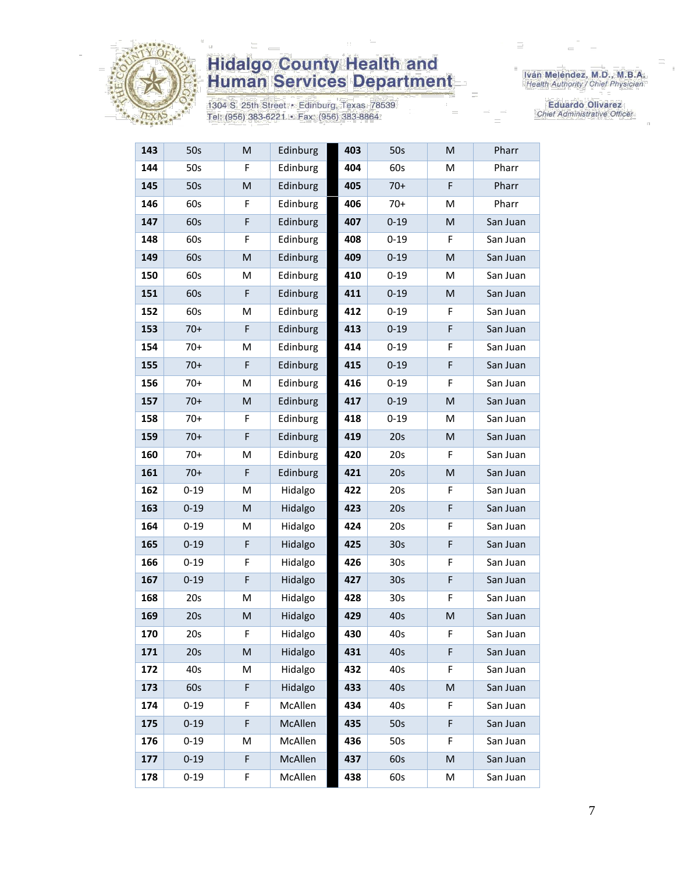

1304 S. 25th Street · Edinburg, Texas 78539 Tel: (956) 383-6221 · Fax: (956) 383-8864

Iván Meléndez, M.D., M.B.A.<br>Health Authority / Chief Physician

| 143 | 50s      | M | Edinburg | 403 | 50s             | M           | Pharr    |
|-----|----------|---|----------|-----|-----------------|-------------|----------|
| 144 | 50s      | F | Edinburg | 404 | 60s             | Μ           | Pharr    |
| 145 | 50s      | M | Edinburg | 405 | $70+$           | F           | Pharr    |
| 146 | 60s      | F | Edinburg | 406 | $70+$           | M           | Pharr    |
| 147 | 60s      | F | Edinburg | 407 | $0 - 19$        | M           | San Juan |
| 148 | 60s      | F | Edinburg | 408 | $0 - 19$        | F.          | San Juan |
| 149 | 60s      | M | Edinburg | 409 | $0 - 19$        | M           | San Juan |
| 150 | 60s      | M | Edinburg | 410 | $0 - 19$        | M           | San Juan |
| 151 | 60s      | F | Edinburg | 411 | $0 - 19$        | M           | San Juan |
| 152 | 60s      | M | Edinburg | 412 | $0 - 19$        | F           | San Juan |
| 153 | $70+$    | F | Edinburg | 413 | $0 - 19$        | F           | San Juan |
| 154 | $70+$    | M | Edinburg | 414 | $0 - 19$        | F           | San Juan |
| 155 | $70+$    | F | Edinburg | 415 | $0 - 19$        | F           | San Juan |
| 156 | $70+$    | M | Edinburg | 416 | $0 - 19$        | F           | San Juan |
| 157 | $70+$    | M | Edinburg | 417 | $0 - 19$        | M           | San Juan |
| 158 | $70+$    | F | Edinburg | 418 | $0 - 19$        | M           | San Juan |
| 159 | $70+$    | F | Edinburg | 419 | 20s             | M           | San Juan |
| 160 | $70+$    | M | Edinburg | 420 | 20s             | F           | San Juan |
| 161 | $70+$    | F | Edinburg | 421 | 20s             | M           | San Juan |
| 162 | $0 - 19$ | M | Hidalgo  | 422 | 20s             | F           | San Juan |
| 163 | $0 - 19$ | M | Hidalgo  | 423 | 20s             | $\mathsf F$ | San Juan |
| 164 | $0 - 19$ | M | Hidalgo  | 424 | 20s             | F           | San Juan |
| 165 | $0 - 19$ | F | Hidalgo  | 425 | 30 <sub>s</sub> | F           | San Juan |
| 166 | $0 - 19$ | F | Hidalgo  | 426 | 30 <sub>s</sub> | F           | San Juan |
| 167 | $0 - 19$ | F | Hidalgo  | 427 | 30 <sub>s</sub> | F           | San Juan |
| 168 | 20s      | M | Hidalgo  | 428 | 30 <sub>s</sub> | F           | San Juan |
| 169 | 20s      | M | Hidalgo  | 429 | 40s             | M           | San Juan |
| 170 | 20s      | F | Hidalgo  | 430 | 40s             | F           | San Juan |
| 171 | 20s      | M | Hidalgo  | 431 | 40s             | F           | San Juan |
| 172 | 40s      | M | Hidalgo  | 432 | 40s             | F           | San Juan |
| 173 | 60s      | F | Hidalgo  | 433 | 40s             | M           | San Juan |
| 174 | $0 - 19$ | F | McAllen  | 434 | 40s             | F           | San Juan |
| 175 | $0 - 19$ | F | McAllen  | 435 | 50s             | F           | San Juan |
| 176 | $0 - 19$ | М | McAllen  | 436 | 50s             | F           | San Juan |
| 177 | $0 - 19$ | F | McAllen  | 437 | 60s             | M           | San Juan |
| 178 | $0 - 19$ | F | McAllen  | 438 | 60s             | М           | San Juan |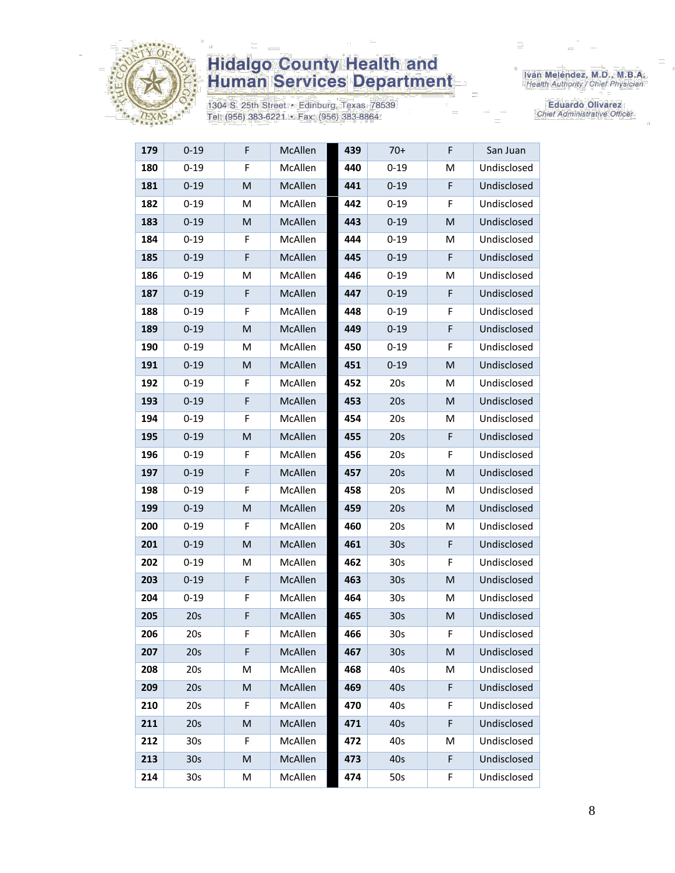

1304 S. 25th Street · Edinburg, Texas 78539 Tel: (956) 383-6221 · Fax: (956) 383-8864

Iván Meléndez, M.D., M.B.A.<br>Health Authority / Chief Physician

| $0 - 19$        | F | McAllen | 439 | 70+             | F           | San Juan    |
|-----------------|---|---------|-----|-----------------|-------------|-------------|
| $0 - 19$        | F | McAllen | 440 | $0 - 19$        | M           | Undisclosed |
| $0 - 19$        | M | McAllen | 441 | $0 - 19$        | F           | Undisclosed |
| $0 - 19$        | M | McAllen | 442 | $0 - 19$        | F           | Undisclosed |
| $0 - 19$        | M | McAllen | 443 | $0 - 19$        | M           | Undisclosed |
| $0 - 19$        | F | McAllen | 444 | $0 - 19$        | м           | Undisclosed |
| $0 - 19$        | F | McAllen | 445 | $0 - 19$        | $\mathsf F$ | Undisclosed |
| $0 - 19$        | М | McAllen | 446 | $0 - 19$        | Μ           | Undisclosed |
| $0 - 19$        | F | McAllen | 447 | $0 - 19$        | F           | Undisclosed |
| $0 - 19$        | F | McAllen | 448 | $0 - 19$        | F           | Undisclosed |
| $0 - 19$        | M | McAllen | 449 | $0 - 19$        | F           | Undisclosed |
| $0 - 19$        | М | McAllen | 450 | $0 - 19$        | F           | Undisclosed |
| $0 - 19$        | M | McAllen | 451 | $0 - 19$        | M           | Undisclosed |
| $0 - 19$        | F | McAllen | 452 | 20s             | M           | Undisclosed |
| $0 - 19$        | F | McAllen | 453 | 20s             | M           | Undisclosed |
| $0 - 19$        | F | McAllen | 454 | 20s             | M           | Undisclosed |
| $0 - 19$        | M | McAllen | 455 | 20s             | F           | Undisclosed |
| $0 - 19$        | F | McAllen | 456 | 20s             | F           | Undisclosed |
| $0 - 19$        | F | McAllen | 457 | 20s             | М           | Undisclosed |
| $0 - 19$        | F | McAllen | 458 | 20s             | м           | Undisclosed |
| $0 - 19$        | M | McAllen | 459 | 20s             | M           | Undisclosed |
| $0 - 19$        | F | McAllen | 460 | 20s             | M           | Undisclosed |
| $0 - 19$        | M | McAllen | 461 | 30 <sub>s</sub> | F           | Undisclosed |
| $0 - 19$        | М | McAllen | 462 | 30s             | F           | Undisclosed |
| $0 - 19$        | F | McAllen | 463 | 30 <sub>s</sub> | M           | Undisclosed |
| $0 - 19$        | F | McAllen | 464 | 30 <sub>s</sub> | M           | Undisclosed |
| 20s             | F | McAllen | 465 | 30 <sub>s</sub> | M           | Undisclosed |
| 20s             | F | McAllen | 466 | 30s             | F           | Undisclosed |
| 20s             | F | McAllen | 467 | 30 <sub>s</sub> | M           | Undisclosed |
| 20s             | M | McAllen | 468 | 40s             | M           | Undisclosed |
| 20s             | M | McAllen | 469 | 40s             | F           | Undisclosed |
| 20s             | F | McAllen | 470 | 40s             | F           | Undisclosed |
| 20s             | M | McAllen | 471 | 40s             | F           | Undisclosed |
| 30 <sub>s</sub> | F | McAllen | 472 | 40s             | Μ           | Undisclosed |
| 30 <sub>s</sub> | M | McAllen | 473 | 40s             | F           | Undisclosed |
| 30 <sub>s</sub> | M | McAllen | 474 | 50s             | F           | Undisclosed |
|                 |   |         |     |                 |             |             |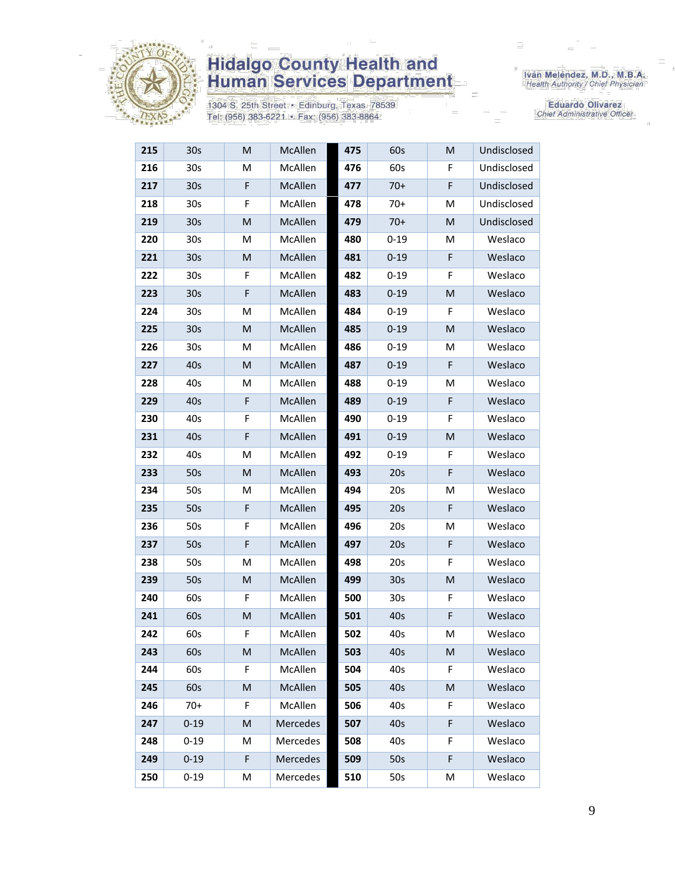

1304 S. 25th Street · Edinburg, Texas 78539 Tel: (956) 383-6221 · Fax: (956) 383-8864

Iván Meléndez, M.D., M.B.A.<br>Health Authority / Chief Physician

| 215 | 30s             | M | McAllen        | 475 | 60s             | M | Undisclosed |
|-----|-----------------|---|----------------|-----|-----------------|---|-------------|
| 216 | 30 <sub>s</sub> | М | McAllen        | 476 | 60s             | F | Undisclosed |
| 217 | 30 <sub>s</sub> | F | McAllen        | 477 | $70+$           | F | Undisclosed |
| 218 | 30 <sub>s</sub> | F | McAllen        | 478 | $70+$           | M | Undisclosed |
| 219 | 30 <sub>s</sub> | M | McAllen        | 479 | $70+$           | M | Undisclosed |
| 220 | 30 <sub>s</sub> | M | McAllen        | 480 | $0 - 19$        | M | Weslaco     |
| 221 | 30s             | M | McAllen        | 481 | $0 - 19$        | F | Weslaco     |
| 222 | 30 <sub>s</sub> | F | McAllen        | 482 | $0 - 19$        | F | Weslaco     |
| 223 | 30 <sub>s</sub> | F | McAllen        | 483 | $0 - 19$        | M | Weslaco     |
| 224 | 30 <sub>s</sub> | M | McAllen        | 484 | $0 - 19$        | F | Weslaco     |
| 225 | 30 <sub>s</sub> | M | McAllen        | 485 | $0 - 19$        | M | Weslaco     |
| 226 | 30 <sub>s</sub> | M | McAllen        | 486 | $0 - 19$        | M | Weslaco     |
| 227 | 40s             | M | <b>McAllen</b> | 487 | $0 - 19$        | F | Weslaco     |
| 228 | 40s             | M | McAllen        | 488 | $0 - 19$        | M | Weslaco     |
| 229 | 40s             | F | McAllen        | 489 | $0 - 19$        | F | Weslaco     |
| 230 | 40s             | F | McAllen        | 490 | $0 - 19$        | F | Weslaco     |
| 231 | 40s             | F | McAllen        | 491 | $0 - 19$        | M | Weslaco     |
| 232 | 40s             | M | McAllen        | 492 | $0 - 19$        | F | Weslaco     |
| 233 | 50s             | M | McAllen        | 493 | 20s             | F | Weslaco     |
| 234 | 50s             | M | McAllen        | 494 | 20s             | Μ | Weslaco     |
| 235 | 50s             | F | McAllen        | 495 | 20s             | F | Weslaco     |
| 236 | 50s             | F | McAllen        | 496 | 20s             | M | Weslaco     |
| 237 | 50s             | F | McAllen        | 497 | 20s             | F | Weslaco     |
| 238 | 50s             | M | McAllen        | 498 | 20s             | F | Weslaco     |
| 239 | 50s             | M | McAllen        | 499 | 30 <sub>s</sub> | M | Weslaco     |
| 240 | 60s             | F | McAllen        | 500 | 30 <sub>s</sub> | F | Weslaco     |
| 241 | 60s             | M | McAllen        | 501 | 40s             | F | Weslaco     |
| 242 | 60s             | F | McAllen        | 502 | 40s             | Μ | Weslaco     |
| 243 | 60s             | M | McAllen        | 503 | 40s             | M | Weslaco     |
| 244 | 60s             | F | McAllen        | 504 | 40s             | F | Weslaco     |
| 245 | 60s             | M | McAllen        | 505 | 40s             | M | Weslaco     |
| 246 | $70+$           | F | McAllen        | 506 | 40s             | F | Weslaco     |
| 247 | $0 - 19$        | M | Mercedes       | 507 | 40s             | F | Weslaco     |
| 248 | $0 - 19$        | M | Mercedes       | 508 | 40s             | F | Weslaco     |
| 249 | $0 - 19$        | F | Mercedes       | 509 | 50s             | F | Weslaco     |
| 250 | $0 - 19$        | М | Mercedes       | 510 | 50s             | М | Weslaco     |